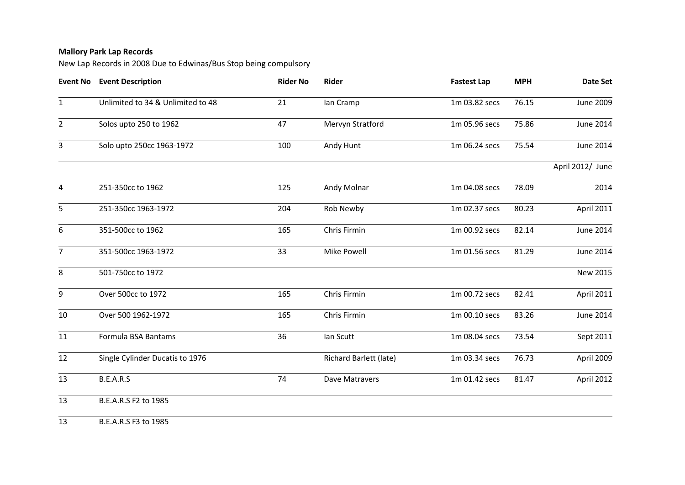## **Mallory Park Lap Records**

New Lap Records in 2008 Due to Edwinas/Bus Stop being compulsory

| <b>Date Set</b>   | <b>MPH</b> | <b>Fastest Lap</b> | Rider                         | <b>Rider No</b> | <b>Event No Event Description</b> |                |
|-------------------|------------|--------------------|-------------------------------|-----------------|-----------------------------------|----------------|
| June 2009         | 76.15      | 1m 03.82 secs      | Ian Cramp                     | 21              | Unlimited to 34 & Unlimited to 48 | $\mathbf{1}$   |
| June 2014         | 75.86      | 1m 05.96 secs      | Mervyn Stratford              | 47              | Solos upto 250 to 1962            | $\overline{2}$ |
| <b>June 2014</b>  | 75.54      | 1m 06.24 secs      | Andy Hunt                     | 100             | Solo upto 250cc 1963-1972         | 3              |
| April 2012/ June  |            |                    |                               |                 |                                   |                |
| 2014              | 78.09      | 1m 04.08 secs      | Andy Molnar                   | 125             | 251-350cc to 1962                 | 4              |
| April 2011        | 80.23      | 1m 02.37 secs      | Rob Newby                     | 204             | 251-350cc 1963-1972               | 5              |
| <b>June 2014</b>  | 82.14      | 1m 00.92 secs      | Chris Firmin                  | 165             | 351-500cc to 1962                 | 6              |
| <b>June 2014</b>  | 81.29      | 1m 01.56 secs      | Mike Powell                   | 33              | 351-500cc 1963-1972               | $\overline{7}$ |
| New 2015          |            |                    |                               |                 | 501-750cc to 1972                 | 8              |
| <b>April 2011</b> | 82.41      | 1m 00.72 secs      | Chris Firmin                  | 165             | Over 500cc to 1972                | 9              |
| June 2014         | 83.26      | 1m 00.10 secs      | Chris Firmin                  | 165             | Over 500 1962-1972                | 10             |
| Sept 2011         | 73.54      | 1m 08.04 secs      | Ian Scutt                     | 36              | Formula BSA Bantams               | 11             |
| April 2009        | 76.73      | 1m 03.34 secs      | <b>Richard Barlett (late)</b> |                 | Single Cylinder Ducatis to 1976   | 12             |
| April 2012        | 81.47      | 1m 01.42 secs      | Dave Matravers                | 74              | B.E.A.R.S                         | 13             |
|                   |            |                    |                               |                 | B.E.A.R.S F2 to 1985              | 13             |
|                   |            |                    |                               |                 |                                   |                |

B.E.A.R.S F3 to 1985